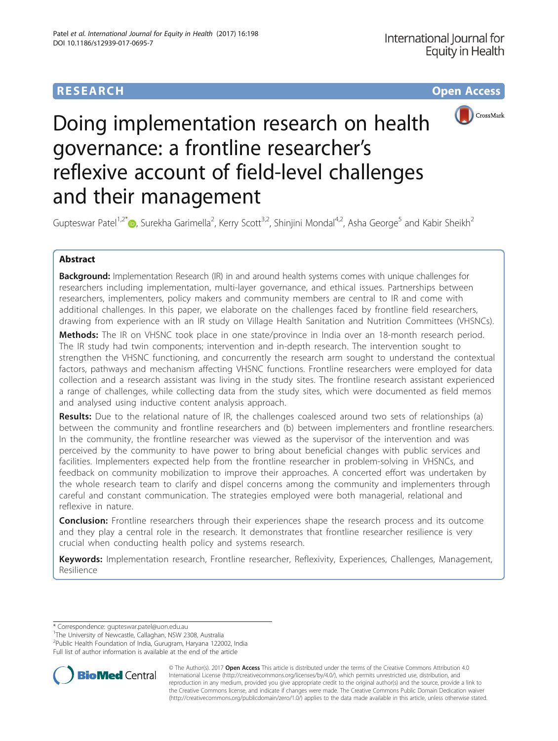

# Doing implementation research on health governance: a frontline researcher's reflexive account of field-level challenges and their management

Gupteswar Patel<sup>1,2\*</sup>®, Surekha Garimella<sup>2</sup>, Kerry Scott<sup>3,2</sup>, Shinjini Mondal<sup>4,2</sup>, Asha George<sup>5</sup> and Kabir Sheikh<sup>2</sup>

## Abstract

**Background:** Implementation Research (IR) in and around health systems comes with unique challenges for researchers including implementation, multi-layer governance, and ethical issues. Partnerships between researchers, implementers, policy makers and community members are central to IR and come with additional challenges. In this paper, we elaborate on the challenges faced by frontline field researchers, drawing from experience with an IR study on Village Health Sanitation and Nutrition Committees (VHSNCs).

Methods: The IR on VHSNC took place in one state/province in India over an 18-month research period. The IR study had twin components; intervention and in-depth research. The intervention sought to strengthen the VHSNC functioning, and concurrently the research arm sought to understand the contextual factors, pathways and mechanism affecting VHSNC functions. Frontline researchers were employed for data collection and a research assistant was living in the study sites. The frontline research assistant experienced a range of challenges, while collecting data from the study sites, which were documented as field memos and analysed using inductive content analysis approach.

**Results:** Due to the relational nature of IR, the challenges coalesced around two sets of relationships (a) between the community and frontline researchers and (b) between implementers and frontline researchers. In the community, the frontline researcher was viewed as the supervisor of the intervention and was perceived by the community to have power to bring about beneficial changes with public services and facilities. Implementers expected help from the frontline researcher in problem-solving in VHSNCs, and feedback on community mobilization to improve their approaches. A concerted effort was undertaken by the whole research team to clarify and dispel concerns among the community and implementers through careful and constant communication. The strategies employed were both managerial, relational and reflexive in nature.

**Conclusion:** Frontline researchers through their experiences shape the research process and its outcome and they play a central role in the research. It demonstrates that frontline researcher resilience is very crucial when conducting health policy and systems research.

Keywords: Implementation research, Frontline researcher, Reflexivity, Experiences, Challenges, Management, Resilience

\* Correspondence: [gupteswar.patel@uon.edu.au](mailto:gupteswar.patel@uon.edu.au) <sup>1</sup>

2 Public Health Foundation of India, Gurugram, Haryana 122002, India

Full list of author information is available at the end of the article



© The Author(s). 2017 **Open Access** This article is distributed under the terms of the Creative Commons Attribution 4.0 International License [\(http://creativecommons.org/licenses/by/4.0/](http://creativecommons.org/licenses/by/4.0/)), which permits unrestricted use, distribution, and reproduction in any medium, provided you give appropriate credit to the original author(s) and the source, provide a link to the Creative Commons license, and indicate if changes were made. The Creative Commons Public Domain Dedication waiver [\(http://creativecommons.org/publicdomain/zero/1.0/](http://creativecommons.org/publicdomain/zero/1.0/)) applies to the data made available in this article, unless otherwise stated.

<sup>&</sup>lt;sup>1</sup>The University of Newcastle, Callaghan, NSW 2308, Australia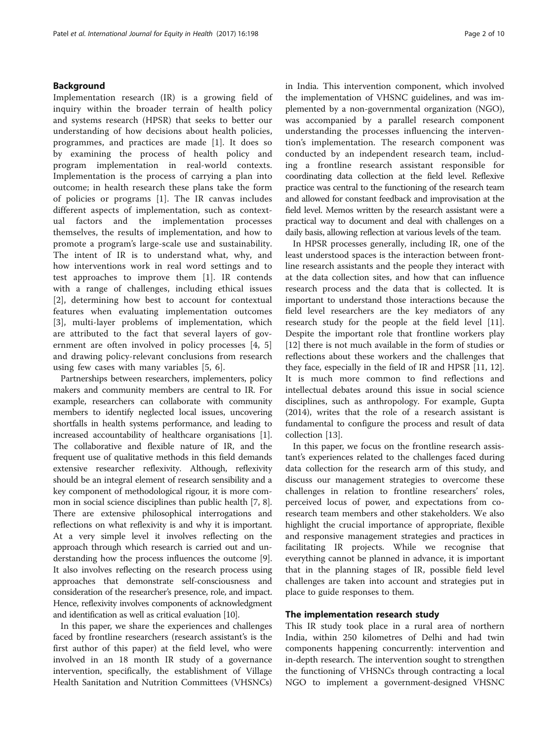## Background

Implementation research (IR) is a growing field of inquiry within the broader terrain of health policy and systems research (HPSR) that seeks to better our understanding of how decisions about health policies, programmes, and practices are made [\[1](#page-8-0)]. It does so by examining the process of health policy and program implementation in real-world contexts. Implementation is the process of carrying a plan into outcome; in health research these plans take the form of policies or programs [[1](#page-8-0)]. The IR canvas includes different aspects of implementation, such as contextual factors and the implementation processes themselves, the results of implementation, and how to promote a program's large-scale use and sustainability. The intent of IR is to understand what, why, and how interventions work in real word settings and to test approaches to improve them [[1\]](#page-8-0). IR contends with a range of challenges, including ethical issues [[2\]](#page-8-0), determining how best to account for contextual features when evaluating implementation outcomes [[3\]](#page-8-0), multi-layer problems of implementation, which are attributed to the fact that several layers of government are often involved in policy processes [\[4](#page-8-0), [5](#page-8-0)] and drawing policy-relevant conclusions from research using few cases with many variables [[5, 6\]](#page-8-0).

Partnerships between researchers, implementers, policy makers and community members are central to IR. For example, researchers can collaborate with community members to identify neglected local issues, uncovering shortfalls in health systems performance, and leading to increased accountability of healthcare organisations [[1](#page-8-0)]. The collaborative and flexible nature of IR, and the frequent use of qualitative methods in this field demands extensive researcher reflexivity. Although, reflexivity should be an integral element of research sensibility and a key component of methodological rigour, it is more common in social science disciplines than public health [[7](#page-8-0), [8](#page-8-0)]. There are extensive philosophical interrogations and reflections on what reflexivity is and why it is important. At a very simple level it involves reflecting on the approach through which research is carried out and understanding how the process influences the outcome [[9](#page-8-0)]. It also involves reflecting on the research process using approaches that demonstrate self-consciousness and consideration of the researcher's presence, role, and impact. Hence, reflexivity involves components of acknowledgment and identification as well as critical evaluation [\[10\]](#page-8-0).

In this paper, we share the experiences and challenges faced by frontline researchers (research assistant's is the first author of this paper) at the field level, who were involved in an 18 month IR study of a governance intervention, specifically, the establishment of Village Health Sanitation and Nutrition Committees (VHSNCs) in India. This intervention component, which involved the implementation of VHSNC guidelines, and was implemented by a non-governmental organization (NGO), was accompanied by a parallel research component understanding the processes influencing the intervention's implementation. The research component was conducted by an independent research team, including a frontline research assistant responsible for coordinating data collection at the field level. Reflexive practice was central to the functioning of the research team and allowed for constant feedback and improvisation at the field level. Memos written by the research assistant were a practical way to document and deal with challenges on a daily basis, allowing reflection at various levels of the team.

In HPSR processes generally, including IR, one of the least understood spaces is the interaction between frontline research assistants and the people they interact with at the data collection sites, and how that can influence research process and the data that is collected. It is important to understand those interactions because the field level researchers are the key mediators of any research study for the people at the field level [\[11](#page-8-0)]. Despite the important role that frontline workers play [[12\]](#page-9-0) there is not much available in the form of studies or reflections about these workers and the challenges that they face, especially in the field of IR and HPSR [\[11](#page-8-0), [12](#page-9-0)]. It is much more common to find reflections and intellectual debates around this issue in social science disciplines, such as anthropology. For example, Gupta (2014), writes that the role of a research assistant is fundamental to configure the process and result of data collection [[13](#page-9-0)].

In this paper, we focus on the frontline research assistant's experiences related to the challenges faced during data collection for the research arm of this study, and discuss our management strategies to overcome these challenges in relation to frontline researchers' roles, perceived locus of power, and expectations from coresearch team members and other stakeholders. We also highlight the crucial importance of appropriate, flexible and responsive management strategies and practices in facilitating IR projects. While we recognise that everything cannot be planned in advance, it is important that in the planning stages of IR, possible field level challenges are taken into account and strategies put in place to guide responses to them.

### The implementation research study

This IR study took place in a rural area of northern India, within 250 kilometres of Delhi and had twin components happening concurrently: intervention and in-depth research. The intervention sought to strengthen the functioning of VHSNCs through contracting a local NGO to implement a government-designed VHSNC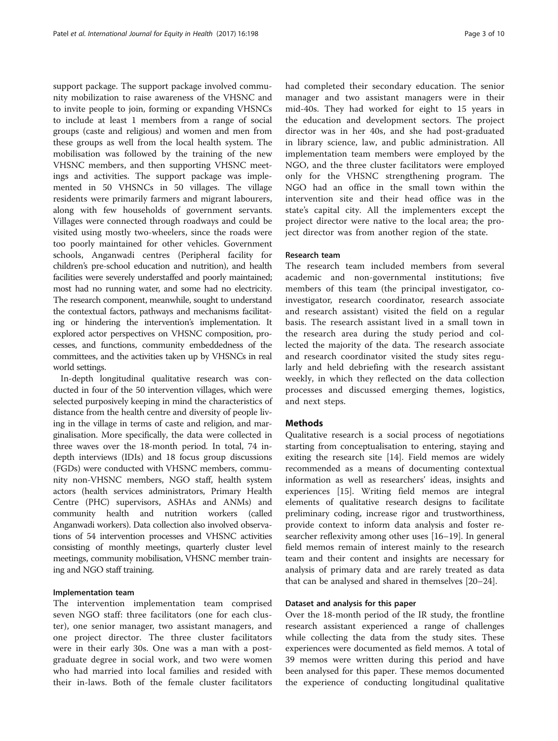support package. The support package involved community mobilization to raise awareness of the VHSNC and to invite people to join, forming or expanding VHSNCs to include at least 1 members from a range of social groups (caste and religious) and women and men from these groups as well from the local health system. The mobilisation was followed by the training of the new VHSNC members, and then supporting VHSNC meetings and activities. The support package was implemented in 50 VHSNCs in 50 villages. The village residents were primarily farmers and migrant labourers, along with few households of government servants. Villages were connected through roadways and could be visited using mostly two-wheelers, since the roads were too poorly maintained for other vehicles. Government schools, Anganwadi centres (Peripheral facility for children's pre-school education and nutrition), and health facilities were severely understaffed and poorly maintained; most had no running water, and some had no electricity. The research component, meanwhile, sought to understand the contextual factors, pathways and mechanisms facilitating or hindering the intervention's implementation. It explored actor perspectives on VHSNC composition, processes, and functions, community embeddedness of the committees, and the activities taken up by VHSNCs in real world settings.

In-depth longitudinal qualitative research was conducted in four of the 50 intervention villages, which were selected purposively keeping in mind the characteristics of distance from the health centre and diversity of people living in the village in terms of caste and religion, and marginalisation. More specifically, the data were collected in three waves over the 18-month period. In total, 74 indepth interviews (IDIs) and 18 focus group discussions (FGDs) were conducted with VHSNC members, community non-VHSNC members, NGO staff, health system actors (health services administrators, Primary Health Centre (PHC) supervisors, ASHAs and ANMs) and community health and nutrition workers (called Anganwadi workers). Data collection also involved observations of 54 intervention processes and VHSNC activities consisting of monthly meetings, quarterly cluster level meetings, community mobilisation, VHSNC member training and NGO staff training.

## Implementation team

The intervention implementation team comprised seven NGO staff: three facilitators (one for each cluster), one senior manager, two assistant managers, and one project director. The three cluster facilitators were in their early 30s. One was a man with a postgraduate degree in social work, and two were women who had married into local families and resided with their in-laws. Both of the female cluster facilitators had completed their secondary education. The senior manager and two assistant managers were in their mid-40s. They had worked for eight to 15 years in the education and development sectors. The project director was in her 40s, and she had post-graduated in library science, law, and public administration. All implementation team members were employed by the NGO, and the three cluster facilitators were employed only for the VHSNC strengthening program. The NGO had an office in the small town within the intervention site and their head office was in the state's capital city. All the implementers except the project director were native to the local area; the project director was from another region of the state.

## Research team

The research team included members from several academic and non-governmental institutions; five members of this team (the principal investigator, coinvestigator, research coordinator, research associate and research assistant) visited the field on a regular basis. The research assistant lived in a small town in the research area during the study period and collected the majority of the data. The research associate and research coordinator visited the study sites regularly and held debriefing with the research assistant weekly, in which they reflected on the data collection processes and discussed emerging themes, logistics, and next steps.

## Methods

Qualitative research is a social process of negotiations starting from conceptualisation to entering, staying and exiting the research site [[14\]](#page-9-0). Field memos are widely recommended as a means of documenting contextual information as well as researchers' ideas, insights and experiences [[15\]](#page-9-0). Writing field memos are integral elements of qualitative research designs to facilitate preliminary coding, increase rigor and trustworthiness, provide context to inform data analysis and foster researcher reflexivity among other uses [[16](#page-9-0)–[19](#page-9-0)]. In general field memos remain of interest mainly to the research team and their content and insights are necessary for analysis of primary data and are rarely treated as data that can be analysed and shared in themselves [\[20](#page-9-0)–[24\]](#page-9-0).

#### Dataset and analysis for this paper

Over the 18-month period of the IR study, the frontline research assistant experienced a range of challenges while collecting the data from the study sites. These experiences were documented as field memos. A total of 39 memos were written during this period and have been analysed for this paper. These memos documented the experience of conducting longitudinal qualitative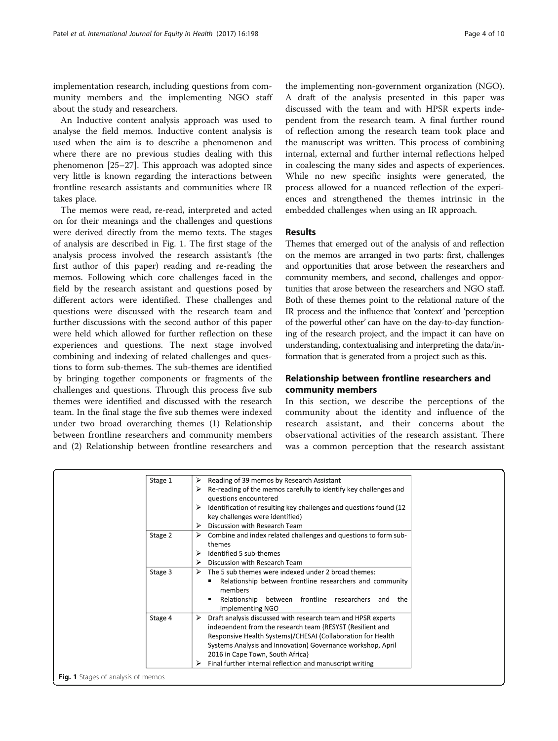implementation research, including questions from community members and the implementing NGO staff about the study and researchers.

An Inductive content analysis approach was used to analyse the field memos. Inductive content analysis is used when the aim is to describe a phenomenon and where there are no previous studies dealing with this phenomenon [\[25](#page-9-0)–[27](#page-9-0)]. This approach was adopted since very little is known regarding the interactions between frontline research assistants and communities where IR takes place.

The memos were read, re-read, interpreted and acted on for their meanings and the challenges and questions were derived directly from the memo texts. The stages of analysis are described in Fig. 1. The first stage of the analysis process involved the research assistant's (the first author of this paper) reading and re-reading the memos. Following which core challenges faced in the field by the research assistant and questions posed by different actors were identified. These challenges and questions were discussed with the research team and further discussions with the second author of this paper were held which allowed for further reflection on these experiences and questions. The next stage involved combining and indexing of related challenges and questions to form sub-themes. The sub-themes are identified by bringing together components or fragments of the challenges and questions. Through this process five sub themes were identified and discussed with the research team. In the final stage the five sub themes were indexed under two broad overarching themes (1) Relationship between frontline researchers and community members and (2) Relationship between frontline researchers and

the implementing non-government organization (NGO). A draft of the analysis presented in this paper was discussed with the team and with HPSR experts independent from the research team. A final further round of reflection among the research team took place and the manuscript was written. This process of combining internal, external and further internal reflections helped in coalescing the many sides and aspects of experiences. While no new specific insights were generated, the process allowed for a nuanced reflection of the experiences and strengthened the themes intrinsic in the embedded challenges when using an IR approach.

### Results

Themes that emerged out of the analysis of and reflection on the memos are arranged in two parts: first, challenges and opportunities that arose between the researchers and community members, and second, challenges and opportunities that arose between the researchers and NGO staff. Both of these themes point to the relational nature of the IR process and the influence that 'context' and 'perception of the powerful other' can have on the day-to-day functioning of the research project, and the impact it can have on understanding, contextualising and interpreting the data/information that is generated from a project such as this.

## Relationship between frontline researchers and community members

In this section, we describe the perceptions of the community about the identity and influence of the research assistant, and their concerns about the observational activities of the research assistant. There was a common perception that the research assistant

| Stage 1 | Reading of 39 memos by Research Assistant<br>⋗                           |
|---------|--------------------------------------------------------------------------|
|         | Re-reading of the memos carefully to identify key challenges and<br>⋗    |
|         | questions encountered                                                    |
|         | Identification of resulting key challenges and questions found (12)<br>➤ |
|         | key challenges were identified)                                          |
|         | Discussion with Research Team<br>➤                                       |
| Stage 2 | Combine and index related challenges and questions to form sub-<br>⋗     |
|         | themes                                                                   |
|         | Identified 5 sub-themes<br>⋗                                             |
|         | Discussion with Research Team<br>⋗                                       |
| Stage 3 | The 5 sub themes were indexed under 2 broad themes:<br>➤                 |
|         | Relationship between frontline researchers and community                 |
|         | members                                                                  |
|         | between frontline researchers<br>Relationship<br>the<br>and              |
|         | implementing NGO                                                         |
| Stage 4 | Draft analysis discussed with research team and HPSR experts<br>➤        |
|         | independent from the research team {RESYST (Resilient and                |
|         | Responsive Health Systems)/CHESAI (Collaboration for Health              |
|         | Systems Analysis and Innovation) Governance workshop, April              |
|         | 2016 in Cape Town, South Africa}                                         |
|         | Final further internal reflection and manuscript writing<br>⋗            |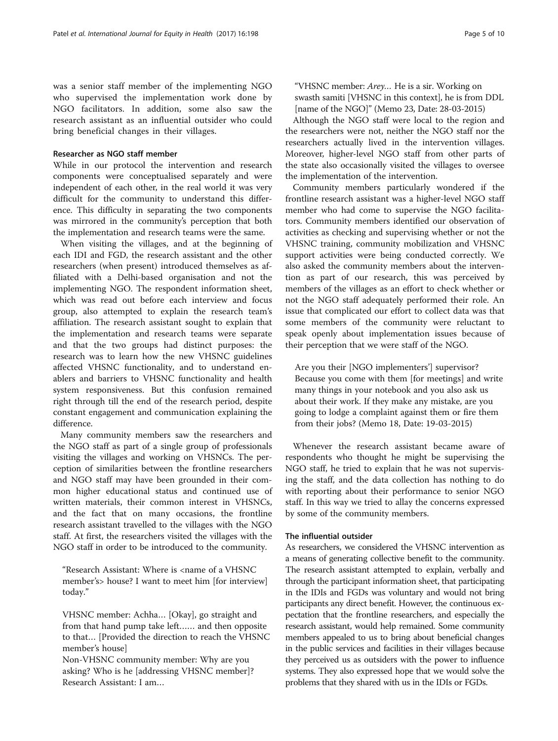was a senior staff member of the implementing NGO who supervised the implementation work done by NGO facilitators. In addition, some also saw the research assistant as an influential outsider who could bring beneficial changes in their villages.

## Researcher as NGO staff member

While in our protocol the intervention and research components were conceptualised separately and were independent of each other, in the real world it was very difficult for the community to understand this difference. This difficulty in separating the two components was mirrored in the community's perception that both the implementation and research teams were the same.

When visiting the villages, and at the beginning of each IDI and FGD, the research assistant and the other researchers (when present) introduced themselves as affiliated with a Delhi-based organisation and not the implementing NGO. The respondent information sheet, which was read out before each interview and focus group, also attempted to explain the research team's affiliation. The research assistant sought to explain that the implementation and research teams were separate and that the two groups had distinct purposes: the research was to learn how the new VHSNC guidelines affected VHSNC functionality, and to understand enablers and barriers to VHSNC functionality and health system responsiveness. But this confusion remained right through till the end of the research period, despite constant engagement and communication explaining the difference.

Many community members saw the researchers and the NGO staff as part of a single group of professionals visiting the villages and working on VHSNCs. The perception of similarities between the frontline researchers and NGO staff may have been grounded in their common higher educational status and continued use of written materials, their common interest in VHSNCs, and the fact that on many occasions, the frontline research assistant travelled to the villages with the NGO staff. At first, the researchers visited the villages with the NGO staff in order to be introduced to the community.

"Research Assistant: Where is <name of a VHSNC member's> house? I want to meet him [for interview] today."

VHSNC member: Achha… [Okay], go straight and from that hand pump take left…… and then opposite to that… [Provided the direction to reach the VHSNC member's house]

Non-VHSNC community member: Why are you asking? Who is he [addressing VHSNC member]? Research Assistant: I am…

"VHSNC member: Arey… He is a sir. Working on swasth samiti [VHSNC in this context], he is from DDL

[name of the NGO]" (Memo 23, Date: 28-03-2015) Although the NGO staff were local to the region and the researchers were not, neither the NGO staff nor the researchers actually lived in the intervention villages. Moreover, higher-level NGO staff from other parts of the state also occasionally visited the villages to oversee the implementation of the intervention.

Community members particularly wondered if the frontline research assistant was a higher-level NGO staff member who had come to supervise the NGO facilitators. Community members identified our observation of activities as checking and supervising whether or not the VHSNC training, community mobilization and VHSNC support activities were being conducted correctly. We also asked the community members about the intervention as part of our research, this was perceived by members of the villages as an effort to check whether or not the NGO staff adequately performed their role. An issue that complicated our effort to collect data was that some members of the community were reluctant to speak openly about implementation issues because of their perception that we were staff of the NGO.

Are you their [NGO implementers'] supervisor? Because you come with them [for meetings] and write many things in your notebook and you also ask us about their work. If they make any mistake, are you going to lodge a complaint against them or fire them from their jobs? (Memo 18, Date: 19-03-2015)

Whenever the research assistant became aware of respondents who thought he might be supervising the NGO staff, he tried to explain that he was not supervising the staff, and the data collection has nothing to do with reporting about their performance to senior NGO staff. In this way we tried to allay the concerns expressed by some of the community members.

#### The influential outsider

As researchers, we considered the VHSNC intervention as a means of generating collective benefit to the community. The research assistant attempted to explain, verbally and through the participant information sheet, that participating in the IDIs and FGDs was voluntary and would not bring participants any direct benefit. However, the continuous expectation that the frontline researchers, and especially the research assistant, would help remained. Some community members appealed to us to bring about beneficial changes in the public services and facilities in their villages because they perceived us as outsiders with the power to influence systems. They also expressed hope that we would solve the problems that they shared with us in the IDIs or FGDs.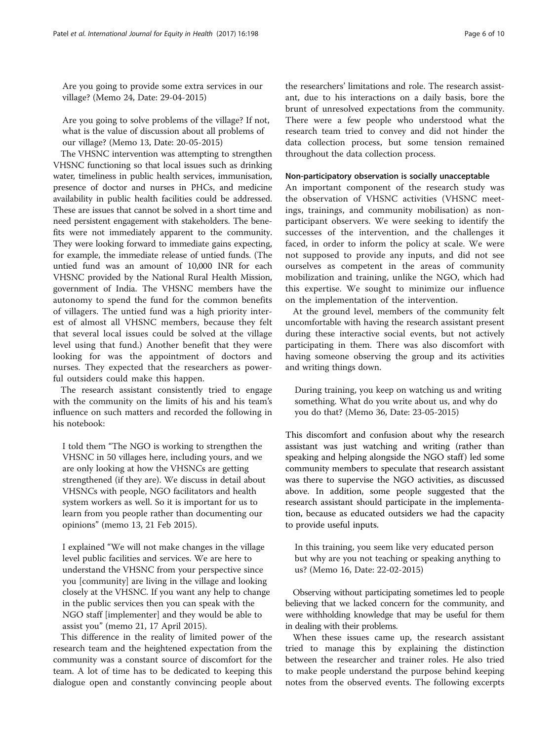Are you going to provide some extra services in our village? (Memo 24, Date: 29-04-2015)

Are you going to solve problems of the village? If not, what is the value of discussion about all problems of our village? (Memo 13, Date: 20-05-2015)

The VHSNC intervention was attempting to strengthen VHSNC functioning so that local issues such as drinking water, timeliness in public health services, immunisation, presence of doctor and nurses in PHCs, and medicine availability in public health facilities could be addressed. These are issues that cannot be solved in a short time and need persistent engagement with stakeholders. The benefits were not immediately apparent to the community. They were looking forward to immediate gains expecting, for example, the immediate release of untied funds. (The untied fund was an amount of 10,000 INR for each VHSNC provided by the National Rural Health Mission, government of India. The VHSNC members have the autonomy to spend the fund for the common benefits of villagers. The untied fund was a high priority interest of almost all VHSNC members, because they felt that several local issues could be solved at the village level using that fund.) Another benefit that they were looking for was the appointment of doctors and nurses. They expected that the researchers as powerful outsiders could make this happen.

The research assistant consistently tried to engage with the community on the limits of his and his team's influence on such matters and recorded the following in his notebook:

I told them "The NGO is working to strengthen the VHSNC in 50 villages here, including yours, and we are only looking at how the VHSNCs are getting strengthened (if they are). We discuss in detail about VHSNCs with people, NGO facilitators and health system workers as well. So it is important for us to learn from you people rather than documenting our opinions" (memo 13, 21 Feb 2015).

I explained "We will not make changes in the village level public facilities and services. We are here to understand the VHSNC from your perspective since you [community] are living in the village and looking closely at the VHSNC. If you want any help to change in the public services then you can speak with the NGO staff [implementer] and they would be able to assist you" (memo 21, 17 April 2015).

This difference in the reality of limited power of the research team and the heightened expectation from the community was a constant source of discomfort for the team. A lot of time has to be dedicated to keeping this dialogue open and constantly convincing people about

the researchers' limitations and role. The research assistant, due to his interactions on a daily basis, bore the brunt of unresolved expectations from the community. There were a few people who understood what the research team tried to convey and did not hinder the data collection process, but some tension remained throughout the data collection process.

#### Non-participatory observation is socially unacceptable

An important component of the research study was the observation of VHSNC activities (VHSNC meetings, trainings, and community mobilisation) as nonparticipant observers. We were seeking to identify the successes of the intervention, and the challenges it faced, in order to inform the policy at scale. We were not supposed to provide any inputs, and did not see ourselves as competent in the areas of community mobilization and training, unlike the NGO, which had this expertise. We sought to minimize our influence on the implementation of the intervention.

At the ground level, members of the community felt uncomfortable with having the research assistant present during these interactive social events, but not actively participating in them. There was also discomfort with having someone observing the group and its activities and writing things down.

During training, you keep on watching us and writing something. What do you write about us, and why do you do that? (Memo 36, Date: 23-05-2015)

This discomfort and confusion about why the research assistant was just watching and writing (rather than speaking and helping alongside the NGO staff) led some community members to speculate that research assistant was there to supervise the NGO activities, as discussed above. In addition, some people suggested that the research assistant should participate in the implementation, because as educated outsiders we had the capacity to provide useful inputs.

In this training, you seem like very educated person but why are you not teaching or speaking anything to us? (Memo 16, Date: 22-02-2015)

Observing without participating sometimes led to people believing that we lacked concern for the community, and were withholding knowledge that may be useful for them in dealing with their problems.

When these issues came up, the research assistant tried to manage this by explaining the distinction between the researcher and trainer roles. He also tried to make people understand the purpose behind keeping notes from the observed events. The following excerpts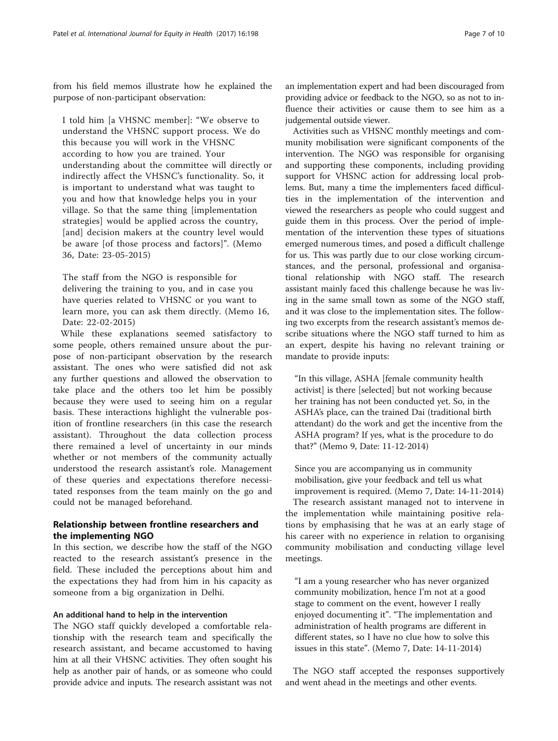from his field memos illustrate how he explained the purpose of non-participant observation:

I told him [a VHSNC member]: "We observe to understand the VHSNC support process. We do this because you will work in the VHSNC according to how you are trained. Your understanding about the committee will directly or indirectly affect the VHSNC's functionality. So, it is important to understand what was taught to you and how that knowledge helps you in your village. So that the same thing [implementation strategies] would be applied across the country, [and] decision makers at the country level would be aware [of those process and factors]". (Memo 36, Date: 23-05-2015)

The staff from the NGO is responsible for delivering the training to you, and in case you have queries related to VHSNC or you want to learn more, you can ask them directly. (Memo 16, Date: 22-02-2015)

While these explanations seemed satisfactory to some people, others remained unsure about the purpose of non-participant observation by the research assistant. The ones who were satisfied did not ask any further questions and allowed the observation to take place and the others too let him be possibly because they were used to seeing him on a regular basis. These interactions highlight the vulnerable position of frontline researchers (in this case the research assistant). Throughout the data collection process there remained a level of uncertainty in our minds whether or not members of the community actually understood the research assistant's role. Management of these queries and expectations therefore necessitated responses from the team mainly on the go and could not be managed beforehand.

## Relationship between frontline researchers and the implementing NGO

In this section, we describe how the staff of the NGO reacted to the research assistant's presence in the field. These included the perceptions about him and the expectations they had from him in his capacity as someone from a big organization in Delhi.

#### An additional hand to help in the intervention

The NGO staff quickly developed a comfortable relationship with the research team and specifically the research assistant, and became accustomed to having him at all their VHSNC activities. They often sought his help as another pair of hands, or as someone who could provide advice and inputs. The research assistant was not

an implementation expert and had been discouraged from providing advice or feedback to the NGO, so as not to influence their activities or cause them to see him as a judgemental outside viewer.

Activities such as VHSNC monthly meetings and community mobilisation were significant components of the intervention. The NGO was responsible for organising and supporting these components, including providing support for VHSNC action for addressing local problems. But, many a time the implementers faced difficulties in the implementation of the intervention and viewed the researchers as people who could suggest and guide them in this process. Over the period of implementation of the intervention these types of situations emerged numerous times, and posed a difficult challenge for us. This was partly due to our close working circumstances, and the personal, professional and organisational relationship with NGO staff. The research assistant mainly faced this challenge because he was living in the same small town as some of the NGO staff, and it was close to the implementation sites. The following two excerpts from the research assistant's memos describe situations where the NGO staff turned to him as an expert, despite his having no relevant training or mandate to provide inputs:

"In this village, ASHA [female community health activist] is there [selected] but not working because her training has not been conducted yet. So, in the ASHA's place, can the trained Dai (traditional birth attendant) do the work and get the incentive from the ASHA program? If yes, what is the procedure to do that?" (Memo 9, Date: 11-12-2014)

Since you are accompanying us in community mobilisation, give your feedback and tell us what improvement is required. (Memo 7, Date: 14-11-2014) The research assistant managed not to intervene in the implementation while maintaining positive relations by emphasising that he was at an early stage of his career with no experience in relation to organising community mobilisation and conducting village level meetings.

"I am a young researcher who has never organized community mobilization, hence I'm not at a good stage to comment on the event, however I really enjoyed documenting it". "The implementation and administration of health programs are different in different states, so I have no clue how to solve this issues in this state". (Memo 7, Date: 14-11-2014)

The NGO staff accepted the responses supportively and went ahead in the meetings and other events.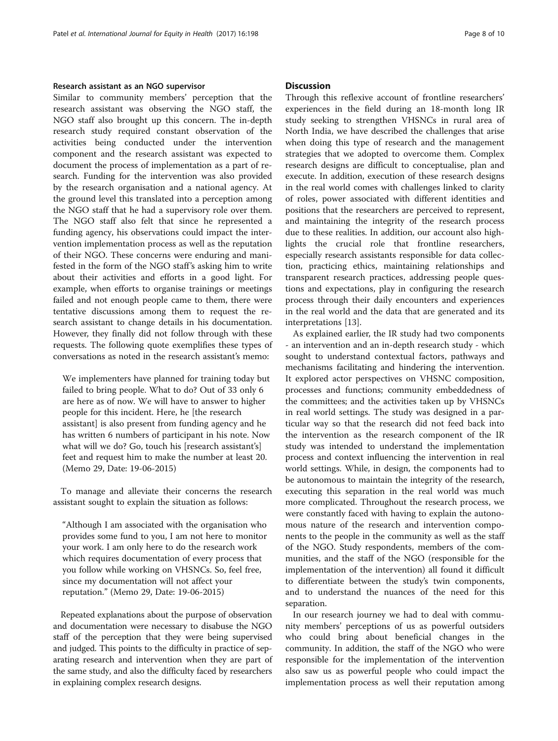## Research assistant as an NGO supervisor

Similar to community members' perception that the research assistant was observing the NGO staff, the NGO staff also brought up this concern. The in-depth research study required constant observation of the activities being conducted under the intervention component and the research assistant was expected to document the process of implementation as a part of research. Funding for the intervention was also provided by the research organisation and a national agency. At the ground level this translated into a perception among the NGO staff that he had a supervisory role over them. The NGO staff also felt that since he represented a funding agency, his observations could impact the intervention implementation process as well as the reputation of their NGO. These concerns were enduring and manifested in the form of the NGO staff's asking him to write about their activities and efforts in a good light. For example, when efforts to organise trainings or meetings failed and not enough people came to them, there were tentative discussions among them to request the research assistant to change details in his documentation. However, they finally did not follow through with these requests. The following quote exemplifies these types of conversations as noted in the research assistant's memo:

We implementers have planned for training today but failed to bring people. What to do? Out of 33 only 6 are here as of now. We will have to answer to higher people for this incident. Here, he [the research assistant] is also present from funding agency and he has written 6 numbers of participant in his note. Now what will we do? Go, touch his [research assistant's] feet and request him to make the number at least 20. (Memo 29, Date: 19-06-2015)

To manage and alleviate their concerns the research assistant sought to explain the situation as follows:

"Although I am associated with the organisation who provides some fund to you, I am not here to monitor your work. I am only here to do the research work which requires documentation of every process that you follow while working on VHSNCs. So, feel free, since my documentation will not affect your reputation." (Memo 29, Date: 19-06-2015)

Repeated explanations about the purpose of observation and documentation were necessary to disabuse the NGO staff of the perception that they were being supervised and judged. This points to the difficulty in practice of separating research and intervention when they are part of the same study, and also the difficulty faced by researchers in explaining complex research designs.

## **Discussion**

Through this reflexive account of frontline researchers' experiences in the field during an 18-month long IR study seeking to strengthen VHSNCs in rural area of North India, we have described the challenges that arise when doing this type of research and the management strategies that we adopted to overcome them. Complex research designs are difficult to conceptualise, plan and execute. In addition, execution of these research designs in the real world comes with challenges linked to clarity of roles, power associated with different identities and positions that the researchers are perceived to represent, and maintaining the integrity of the research process due to these realities. In addition, our account also highlights the crucial role that frontline researchers, especially research assistants responsible for data collection, practicing ethics, maintaining relationships and transparent research practices, addressing people questions and expectations, play in configuring the research process through their daily encounters and experiences in the real world and the data that are generated and its interpretations [[13\]](#page-9-0).

As explained earlier, the IR study had two components - an intervention and an in-depth research study - which sought to understand contextual factors, pathways and mechanisms facilitating and hindering the intervention. It explored actor perspectives on VHSNC composition, processes and functions; community embeddedness of the committees; and the activities taken up by VHSNCs in real world settings. The study was designed in a particular way so that the research did not feed back into the intervention as the research component of the IR study was intended to understand the implementation process and context influencing the intervention in real world settings. While, in design, the components had to be autonomous to maintain the integrity of the research, executing this separation in the real world was much more complicated. Throughout the research process, we were constantly faced with having to explain the autonomous nature of the research and intervention components to the people in the community as well as the staff of the NGO. Study respondents, members of the communities, and the staff of the NGO (responsible for the implementation of the intervention) all found it difficult to differentiate between the study's twin components, and to understand the nuances of the need for this separation.

In our research journey we had to deal with community members' perceptions of us as powerful outsiders who could bring about beneficial changes in the community. In addition, the staff of the NGO who were responsible for the implementation of the intervention also saw us as powerful people who could impact the implementation process as well their reputation among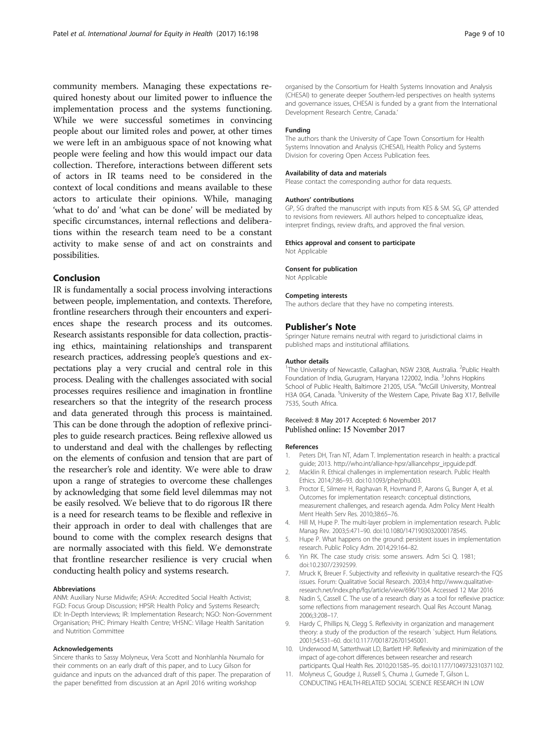<span id="page-8-0"></span>community members. Managing these expectations required honesty about our limited power to influence the implementation process and the systems functioning. While we were successful sometimes in convincing people about our limited roles and power, at other times we were left in an ambiguous space of not knowing what people were feeling and how this would impact our data collection. Therefore, interactions between different sets of actors in IR teams need to be considered in the context of local conditions and means available to these actors to articulate their opinions. While, managing 'what to do' and 'what can be done' will be mediated by specific circumstances, internal reflections and deliberations within the research team need to be a constant activity to make sense of and act on constraints and possibilities.

## Conclusion

IR is fundamentally a social process involving interactions between people, implementation, and contexts. Therefore, frontline researchers through their encounters and experiences shape the research process and its outcomes. Research assistants responsible for data collection, practising ethics, maintaining relationships and transparent research practices, addressing people's questions and expectations play a very crucial and central role in this process. Dealing with the challenges associated with social processes requires resilience and imagination in frontline researchers so that the integrity of the research process and data generated through this process is maintained. This can be done through the adoption of reflexive principles to guide research practices. Being reflexive allowed us to understand and deal with the challenges by reflecting on the elements of confusion and tension that are part of the researcher's role and identity. We were able to draw upon a range of strategies to overcome these challenges by acknowledging that some field level dilemmas may not be easily resolved. We believe that to do rigorous IR there is a need for research teams to be flexible and reflexive in their approach in order to deal with challenges that are bound to come with the complex research designs that are normally associated with this field. We demonstrate that frontline researcher resilience is very crucial when conducting health policy and systems research.

#### Abbreviations

ANM: Auxiliary Nurse Midwife; ASHA: Accredited Social Health Activist; FGD: Focus Group Discussion; HPSR: Health Policy and Systems Research; IDI: In-Depth Interviews; IR: Implementation Research; NGO: Non-Government Organisation; PHC: Primary Health Centre; VHSNC: Village Health Sanitation and Nutrition Committee

#### Acknowledgements

Sincere thanks to Sassy Molyneux, Vera Scott and Nonhlanhla Nxumalo for their comments on an early draft of this paper, and to Lucy Gilson for guidance and inputs on the advanced draft of this paper. The preparation of the paper benefitted from discussion at an April 2016 writing workshop

organised by the Consortium for Health Systems Innovation and Analysis (CHESAI) to generate deeper Southern-led perspectives on health systems and governance issues, CHESAI is funded by a grant from the International Development Research Centre, Canada.'

#### Funding

The authors thank the University of Cape Town Consortium for Health Systems Innovation and Analysis (CHESAI), Health Policy and Systems Division for covering Open Access Publication fees.

#### Availability of data and materials

Please contact the corresponding author for data requests.

#### Authors' contributions

GP, SG drafted the manuscript with inputs from KES & SM. SG, GP attended to revisions from reviewers. All authors helped to conceptualize ideas, interpret findings, review drafts, and approved the final version.

#### Ethics approval and consent to participate

Not Applicable

#### Consent for publication

Not Applicable

#### Competing interests

The authors declare that they have no competing interests.

#### Publisher's Note

Springer Nature remains neutral with regard to jurisdictional claims in published maps and institutional affiliations.

#### Author details

<sup>1</sup>The University of Newcastle, Callaghan, NSW 2308, Australia. <sup>2</sup>Public Health Foundation of India, Gurugram, Haryana 122002, India. <sup>3</sup>Johns Hopkins School of Public Health, Baltimore 21205, USA. <sup>4</sup>McGill University, Montreal H3A 0G4, Canada. <sup>5</sup>University of the Western Cape, Private Bag X17, Bellville 7535, South Africa.

#### Received: 8 May 2017 Accepted: 6 November 2017 Published online: 15 November 2017

#### References

- 1. Peters DH, Tran NT, Adam T. Implementation research in health: a practical guide; 2013. [http://who.int/alliance-hpsr/alliancehpsr\\_irpguide.pdf.](http://who.int/alliance-hpsr/alliancehpsr_irpguide.pdf)
- 2. Macklin R. Ethical challenges in implementation research. Public Health Ethics. 2014;7:86–93. doi:[10.1093/phe/phu003.](http://dx.doi.org/10.1093/phe/phu003)
- 3. Proctor E, Silmere H, Raghavan R, Hovmand P, Aarons G, Bunger A, et al. Outcomes for implementation research: conceptual distinctions, measurement challenges, and research agenda. Adm Policy Ment Health Ment Health Serv Res. 2010;38:65–76.
- 4. Hill M, Hupe P. The multi-layer problem in implementation research. Public Manag Rev. 2003;5:471–90. doi:[10.1080/1471903032000178545.](http://dx.doi.org/10.1080/1471903032000178545)
- 5. Hupe P. What happens on the ground: persistent issues in implementation research. Public Policy Adm. 2014;29:164–82.
- 6. Yin RK. The case study crisis: some answers. Adm Sci Q. 1981; doi[:10.2307/2392599.](http://dx.doi.org/10.2307/2392599)
- 7. Mruck K, Breuer F. Subjectivity and reflexivity in qualitative research-the FQS issues. Forum: Qualitative Social Research. 2003;4 [http://www.qualitative](http://www.qualitative-research.net/index.php/fqs/article/view/696/1504)[research.net/index.php/fqs/article/view/696/1504](http://www.qualitative-research.net/index.php/fqs/article/view/696/1504). Accessed 12 Mar 2016
- 8. Nadin S, Cassell C. The use of a research diary as a tool for reflexive practice: some reflections from management research. Qual Res Account Manag. 2006;3:208–17.
- 9. Hardy C, Phillips N, Clegg S. Reflexivity in organization and management theory: a study of the production of the research `subject. Hum Relations. 2001;54:531–60. doi:[10.1177/0018726701545001.](http://dx.doi.org/10.1177/0018726701545001)
- 10. Underwood M, Satterthwait LD, Bartlett HP. Reflexivity and minimization of the impact of age-cohort differences between researcher and research participants. Qual Health Res. 2010;20:1585–95. doi[:10.1177/1049732310371102.](http://dx.doi.org/10.1177/1049732310371102)
- 11. Molyneus C, Goudge J, Russell S, Chuma J, Gumede T, Gilson L. CONDUCTING HEALTH-RELATED SOCIAL SCIENCE RESEARCH IN LOW